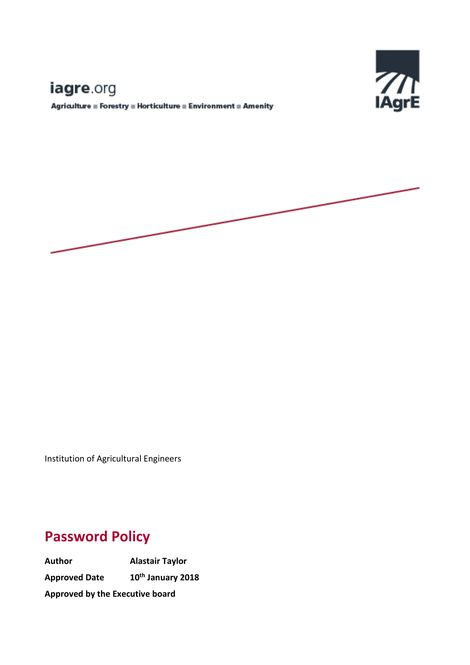# E

## iagre.org

 ${\bf Agriulture\equiv Forestry\equiv Horticulture\equiv Environment\equiv Amerity}$ 



Institution of Agricultural Engineers

## **Password Policy**

**Author Alastair Taylor Approved Date th January 2018 Approved by the Executive board**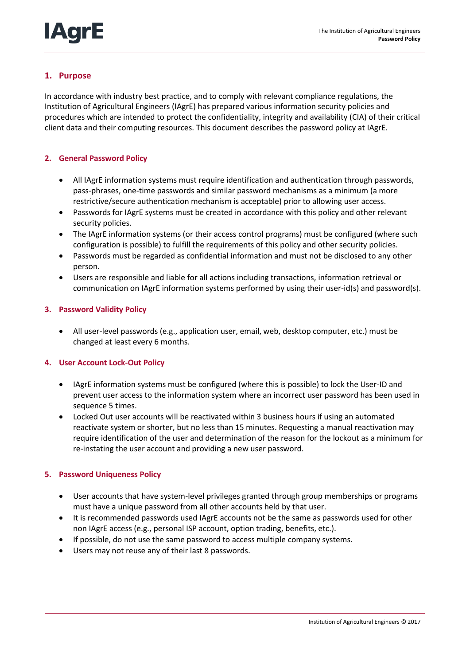

### **1. Purpose**

In accordance with industry best practice, and to comply with relevant compliance regulations, the Institution of Agricultural Engineers (IAgrE) has prepared various information security policies and procedures which are intended to protect the confidentiality, integrity and availability (CIA) of their critical client data and their computing resources. This document describes the password policy at IAgrE.

#### **2. General Password Policy**

- All IAgrE information systems must require identification and authentication through passwords, pass-phrases, one-time passwords and similar password mechanisms as a minimum (a more restrictive/secure authentication mechanism is acceptable) prior to allowing user access.
- Passwords for IAgrE systems must be created in accordance with this policy and other relevant security policies.
- The IAgrE information systems (or their access control programs) must be configured (where such configuration is possible) to fulfill the requirements of this policy and other security policies.
- Passwords must be regarded as confidential information and must not be disclosed to any other person.
- Users are responsible and liable for all actions including transactions, information retrieval or communication on IAgrE information systems performed by using their user-id(s) and password(s).

#### **3. Password Validity Policy**

 All user-level passwords (e.g., application user, email, web, desktop computer, etc.) must be changed at least every 6 months.

#### **4. User Account Lock-Out Policy**

- IAgrE information systems must be configured (where this is possible) to lock the User-ID and prevent user access to the information system where an incorrect user password has been used in sequence 5 times.
- Locked Out user accounts will be reactivated within 3 business hours if using an automated reactivate system or shorter, but no less than 15 minutes. Requesting a manual reactivation may require identification of the user and determination of the reason for the lockout as a minimum for re-instating the user account and providing a new user password.

#### **5. Password Uniqueness Policy**

- User accounts that have system-level privileges granted through group memberships or programs must have a unique password from all other accounts held by that user.
- It is recommended passwords used IAgrE accounts not be the same as passwords used for other non IAgrE access (e.g., personal ISP account, option trading, benefits, etc.).
- If possible, do not use the same password to access multiple company systems.
- Users may not reuse any of their last 8 passwords.